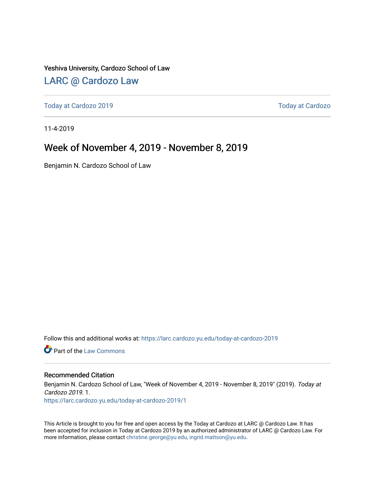#### Yeshiva University, Cardozo School of Law

### [LARC @ Cardozo Law](https://larc.cardozo.yu.edu/)

[Today at Cardozo 2019](https://larc.cardozo.yu.edu/today-at-cardozo-2019) [Today at Cardozo](https://larc.cardozo.yu.edu/today-at-cardozo) 

11-4-2019

#### Week of November 4, 2019 - November 8, 2019

Benjamin N. Cardozo School of Law

Follow this and additional works at: [https://larc.cardozo.yu.edu/today-at-cardozo-2019](https://larc.cardozo.yu.edu/today-at-cardozo-2019?utm_source=larc.cardozo.yu.edu%2Ftoday-at-cardozo-2019%2F1&utm_medium=PDF&utm_campaign=PDFCoverPages)

**C** Part of the [Law Commons](http://network.bepress.com/hgg/discipline/578?utm_source=larc.cardozo.yu.edu%2Ftoday-at-cardozo-2019%2F1&utm_medium=PDF&utm_campaign=PDFCoverPages)

#### Recommended Citation

Benjamin N. Cardozo School of Law, "Week of November 4, 2019 - November 8, 2019" (2019). Today at Cardozo 2019. 1.

[https://larc.cardozo.yu.edu/today-at-cardozo-2019/1](https://larc.cardozo.yu.edu/today-at-cardozo-2019/1?utm_source=larc.cardozo.yu.edu%2Ftoday-at-cardozo-2019%2F1&utm_medium=PDF&utm_campaign=PDFCoverPages) 

This Article is brought to you for free and open access by the Today at Cardozo at LARC @ Cardozo Law. It has been accepted for inclusion in Today at Cardozo 2019 by an authorized administrator of LARC @ Cardozo Law. For more information, please contact [christine.george@yu.edu, ingrid.mattson@yu.edu](mailto:christine.george@yu.edu,%20ingrid.mattson@yu.edu).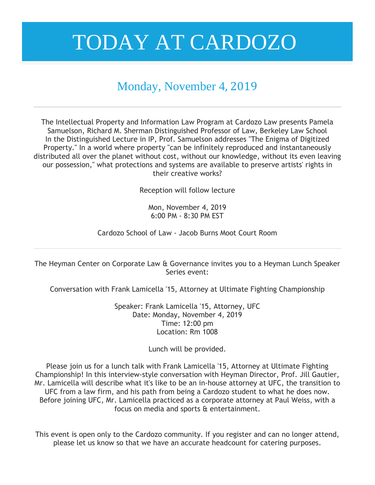### Monday, November 4, 2019

The Intellectual Property and Information Law Program at Cardozo Law presents Pamela Samuelson, Richard M. Sherman Distinguished Professor of Law, Berkeley Law School In the Distinguished Lecture in IP, Prof. Samuelson addresses "The Enigma of Digitized Property." In a world where property "can be infinitely reproduced and instantaneously distributed all over the planet without cost, without our knowledge, without its even leaving our possession," what protections and systems are available to preserve artists' rights in their creative works?

Reception will follow lecture

Mon, November 4, 2019 6:00 PM - 8:30 PM EST

Cardozo School of Law - Jacob Burns Moot Court Room

The Heyman Center on Corporate Law & Governance invites you to a Heyman Lunch Speaker Series event:

Conversation with Frank Lamicella '15, Attorney at Ultimate Fighting Championship

Speaker: Frank Lamicella '15, Attorney, UFC Date: Monday, November 4, 2019 Time: 12:00 pm Location: Rm 1008

Lunch will be provided.

Please join us for a lunch talk with Frank Lamicella '15, Attorney at Ultimate Fighting Championship! In this interview-style conversation with Heyman Director, Prof. Jill Gautier, Mr. Lamicella will describe what it's like to be an in-house attorney at UFC, the transition to UFC from a law firm, and his path from being a Cardozo student to what he does now. Before joining UFC, Mr. Lamicella practiced as a corporate attorney at Paul Weiss, with a focus on media and sports & entertainment.

This event is open only to the Cardozo community. If you register and can no longer attend, please let us know so that we have an accurate headcount for catering purposes.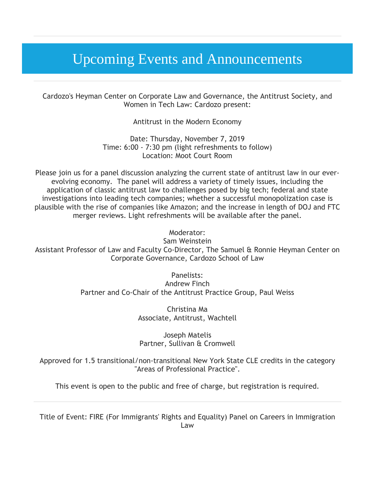## Upcoming Events and Announcements

Cardozo's Heyman Center on Corporate Law and Governance, the Antitrust Society, and Women in Tech Law: Cardozo present:

Antitrust in the Modern Economy

Date: Thursday, November 7, 2019 Time: 6:00 - 7:30 pm (light refreshments to follow) Location: Moot Court Room

Please join us for a panel discussion analyzing the current state of antitrust law in our everevolving economy. The panel will address a variety of timely issues, including the application of classic antitrust law to challenges posed by big tech; federal and state investigations into leading tech companies; whether a successful monopolization case is plausible with the rise of companies like Amazon; and the increase in length of DOJ and FTC merger reviews. Light refreshments will be available after the panel.

Moderator:

Sam Weinstein

Assistant Professor of Law and Faculty Co-Director, The Samuel & Ronnie Heyman Center on Corporate Governance, Cardozo School of Law

> Panelists: Andrew Finch Partner and Co-Chair of the Antitrust Practice Group, Paul Weiss

> > Christina Ma Associate, Antitrust, Wachtell

Joseph Matelis Partner, Sullivan & Cromwell

Approved for 1.5 transitional/non-transitional New York State CLE credits in the category "Areas of Professional Practice".

This event is open to the public and free of charge, but registration is required.

Title of Event: FIRE (For Immigrants' Rights and Equality) Panel on Careers in Immigration Law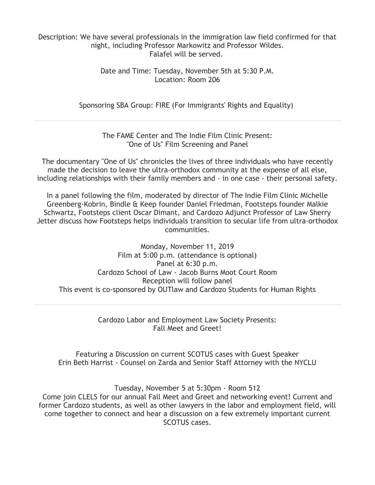#### Description: We have several professionals in the immigration law field confirmed for that night, including Professor Markowitz and Professor Wildes. Falafel will be served.

Date and Time: Tuesday, November 5th at 5:30 P.M. Location: Room 206

Sponsoring SBA Group: FIRE (For Immigrants' Rights and Equality)

The FAME Center and The Indie Film Clinic Present: "One of Us" Film Screening and Panel

The documentary "One of Us" chronicles the lives of three individuals who have recently made the decision to leave the ultra-orthodox community at the expense of all else, including relationships with their family members and - in one case - their personal safety.

In a panel following the film, moderated by director of The Indie Film Clinic Michelle Greenberg-Kobrin, Bindle & Keep founder Daniel Friedman, Footsteps founder Malkie Schwartz, Footsteps client Oscar Dimant, and Cardozo Adjunct Professor of Law Sherry Jetter discuss how Footsteps helps individuals transition to secular life from ultra-orthodox communities.

Monday, November 11, 2019 Film at 5:00 p.m. (attendance is optional) Panel at 6:30 p.m. Cardozo School of Law - Jacob Burns Moot Court Room Reception will follow panel This event is co-sponsored by OUTlaw and Cardozo Students for Human Rights

> Cardozo Labor and Employment Law Society Presents: Fall Meet and Greet!

Featuring a Discussion on current SCOTUS cases with Guest Speaker Erin Beth Harrist - Counsel on Zarda and Senior Staff Attorney with the NYCLU

Tuesday, November 5 at 5:30pm - Room 512 Come join CLELS for our annual Fall Meet and Greet and networking event! Current and former Cardozo students, as well as other lawyers in the labor and employment field, will come together to connect and hear a discussion on a few extremely important current SCOTUS cases.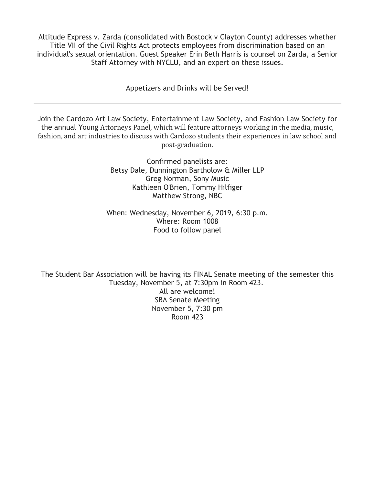Altitude Express v. Zarda (consolidated with Bostock v Clayton County) addresses whether Title VII of the Civil Rights Act protects employees from discrimination based on an individual's sexual orientation. Guest Speaker Erin Beth Harris is counsel on Zarda, a Senior Staff Attorney with NYCLU, and an expert on these issues.

Appetizers and Drinks will be Served!

Join the Cardozo Art Law Society, Entertainment Law Society, and Fashion Law Society for the annual Young Attorneys Panel, which will feature attorneys working in the media, music, fashion, and art industries to discuss with Cardozo students their experiences in law school and post-graduation.

> Confirmed panelists are: Betsy Dale, Dunnington Bartholow & Miller LLP Greg Norman, Sony Music Kathleen O'Brien, Tommy Hilfiger Matthew Strong, NBC

When: Wednesday, November 6, 2019, 6:30 p.m. Where: Room 1008 Food to follow panel

The Student Bar Association will be having its FINAL Senate meeting of the semester this Tuesday, November 5, at 7:30pm in Room 423. All are welcome! SBA Senate Meeting November 5, 7:30 pm Room 423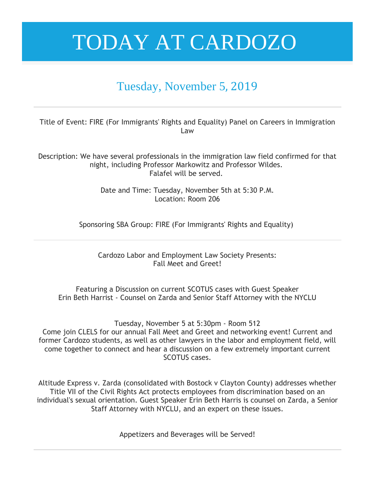### Tuesday, November 5, 2019

Title of Event: FIRE (For Immigrants' Rights and Equality) Panel on Careers in Immigration Law

Description: We have several professionals in the immigration law field confirmed for that night, including Professor Markowitz and Professor Wildes. Falafel will be served.

> Date and Time: Tuesday, November 5th at 5:30 P.M. Location: Room 206

Sponsoring SBA Group: FIRE (For Immigrants' Rights and Equality)

Cardozo Labor and Employment Law Society Presents: Fall Meet and Greet!

Featuring a Discussion on current SCOTUS cases with Guest Speaker Erin Beth Harrist - Counsel on Zarda and Senior Staff Attorney with the NYCLU

Tuesday, November 5 at 5:30pm - Room 512

Come join CLELS for our annual Fall Meet and Greet and networking event! Current and former Cardozo students, as well as other lawyers in the labor and employment field, will come together to connect and hear a discussion on a few extremely important current SCOTUS cases.

Altitude Express v. Zarda (consolidated with Bostock v Clayton County) addresses whether Title VII of the Civil Rights Act protects employees from discrimination based on an individual's sexual orientation. Guest Speaker Erin Beth Harris is counsel on Zarda, a Senior Staff Attorney with NYCLU, and an expert on these issues.

Appetizers and Beverages will be Served!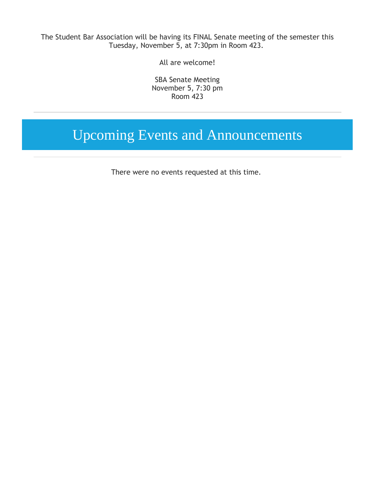The Student Bar Association will be having its FINAL Senate meeting of the semester this Tuesday, November 5, at 7:30pm in Room 423.

All are welcome!

SBA Senate Meeting November 5, 7:30 pm Room 423

## Upcoming Events and Announcements

There were no events requested at this time.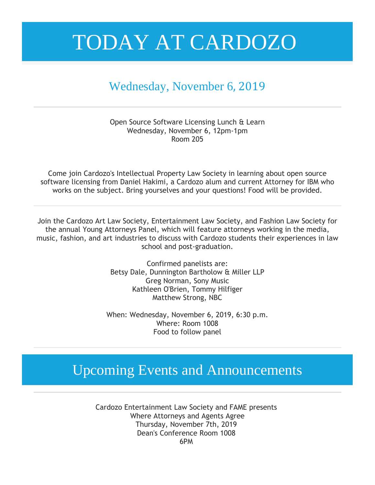### Wednesday, November 6, 2019

Open Source Software Licensing Lunch & Learn Wednesday, November 6, 12pm-1pm Room 205

Come join Cardozo's Intellectual Property Law Society in learning about open source software licensing from Daniel Hakimi, a Cardozo alum and current Attorney for IBM who works on the subject. Bring yourselves and your questions! Food will be provided.

Join the Cardozo Art Law Society, Entertainment Law Society, and Fashion Law Society for the annual Young Attorneys Panel, which will feature attorneys working in the media, music, fashion, and art industries to discuss with Cardozo students their experiences in law school and post-graduation.

> Confirmed panelists are: Betsy Dale, Dunnington Bartholow & Miller LLP Greg Norman, Sony Music Kathleen O'Brien, Tommy Hilfiger Matthew Strong, NBC

When: Wednesday, November 6, 2019, 6:30 p.m. Where: Room 1008 Food to follow panel

## Upcoming Events and Announcements

Cardozo Entertainment Law Society and FAME presents Where Attorneys and Agents Agree Thursday, November 7th, 2019 Dean's Conference Room 1008 6PM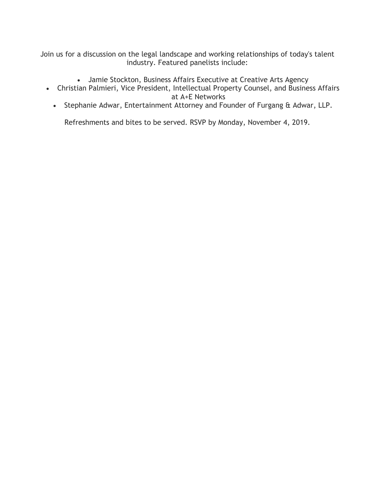Join us for a discussion on the legal landscape and working relationships of today's talent industry. Featured panelists include:

- Jamie Stockton, Business Affairs Executive at Creative Arts Agency
- Christian Palmieri, Vice President, Intellectual Property Counsel, and Business Affairs at A+E Networks
	- Stephanie Adwar, Entertainment Attorney and Founder of Furgang & Adwar, LLP.

Refreshments and bites to be served. RSVP by Monday, November 4, 2019.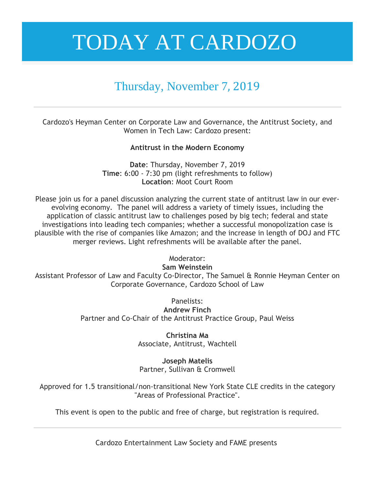### Thursday, November 7, 2019

Cardozo's Heyman Center on Corporate Law and Governance, the Antitrust Society, and Women in Tech Law: Cardozo present:

**Antitrust in the Modern Economy**

**Date**: Thursday, November 7, 2019 **Time**: 6:00 - 7:30 pm (light refreshments to follow) **Location**: Moot Court Room

Please join us for a panel discussion analyzing the current state of antitrust law in our everevolving economy. The panel will address a variety of timely issues, including the application of classic antitrust law to challenges posed by big tech; federal and state investigations into leading tech companies; whether a successful monopolization case is plausible with the rise of companies like Amazon; and the increase in length of DOJ and FTC merger reviews. Light refreshments will be available after the panel.

Moderator:

**Sam Weinstein**

Assistant Professor of Law and Faculty Co-Director, The Samuel & Ronnie Heyman Center on Corporate Governance, Cardozo School of Law

Panelists:

**Andrew Finch** Partner and Co-Chair of the Antitrust Practice Group, Paul Weiss

> **Christina Ma** Associate, Antitrust, Wachtell

> **Joseph Matelis** Partner, Sullivan & Cromwell

Approved for 1.5 transitional/non-transitional New York State CLE credits in the category "Areas of Professional Practice".

This event is open to the public and free of charge, but registration is required.

Cardozo Entertainment Law Society and FAME presents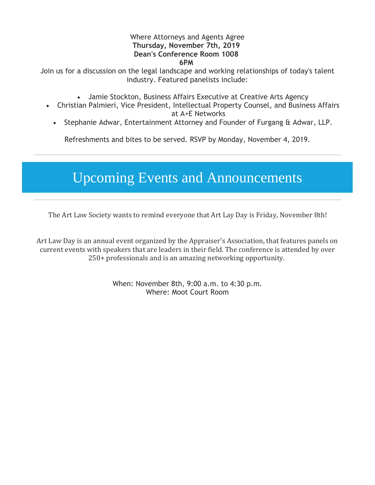#### Where Attorneys and Agents Agree **Thursday, November 7th, 2019 Dean's Conference Room 1008 6PM**

Join us for a discussion on the legal landscape and working relationships of today's talent industry. Featured panelists include:

- Jamie Stockton, Business Affairs Executive at Creative Arts Agency
- Christian Palmieri, Vice President, Intellectual Property Counsel, and Business Affairs at A+E Networks
	- Stephanie Adwar, Entertainment Attorney and Founder of Furgang & Adwar, LLP.

Refreshments and bites to be served. RSVP by Monday, November 4, 2019.

## Upcoming Events and Announcements

The Art Law Society wants to remind everyone that Art Lay Day is Friday, November 8th!

Art Law Day is an annual event organized by the Appraiser's Association, that features panels on current events with speakers that are leaders in their field. The conference is attended by over 250+ professionals and is an amazing networking opportunity.

> When: November 8th, 9:00 a.m. to 4:30 p.m. Where: Moot Court Room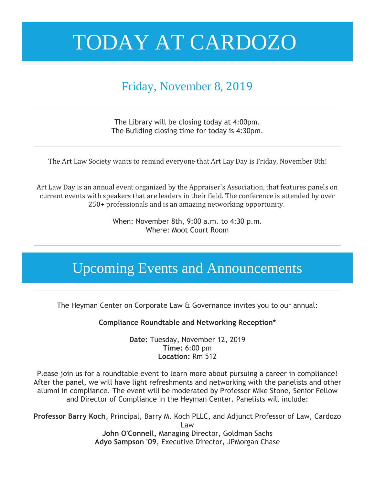## Friday, November 8, 2019

The Library will be closing today at 4:00pm. The Building closing time for today is 4:30pm.

The Art Law Society wants to remind everyone that Art Lay Day is Friday, November 8th!

Art Law Day is an annual event organized by the Appraiser's Association, that features panels on current events with speakers that are leaders in their field. The conference is attended by over 250+ professionals and is an amazing networking opportunity.

> When: November 8th, 9:00 a.m. to 4:30 p.m. Where: Moot Court Room

## Upcoming Events and Announcements

The Heyman Center on Corporate Law & Governance invites you to our annual:

**Compliance Roundtable and Networking Reception\***

**Date:** Tuesday, November 12, 2019 **Time:** 6:00 pm **Location:** Rm 512

Please join us for a roundtable event to learn more about pursuing a career in compliance! After the panel, we will have light refreshments and networking with the panelists and other alumni in compliance. The event will be moderated by Professor Mike Stone, Senior Fellow and Director of Compliance in the Heyman Center. Panelists will include:

**Professor Barry Koch**, Principal, Barry M. Koch PLLC, and Adjunct Professor of Law, Cardozo Law **John O'Connell,** Managing Director, Goldman Sachs **Adyo Sampson '09**, Executive Director, JPMorgan Chase